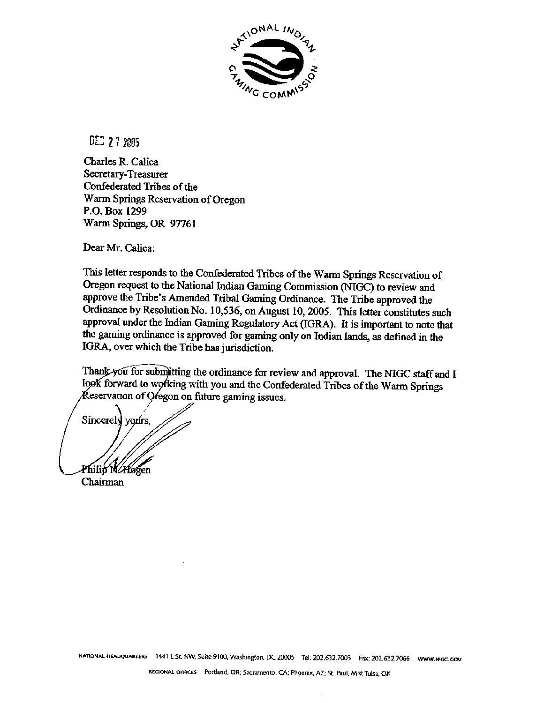

DEC 27 2005

**Charles R. Calica Secretary-Treasurer Confederated Trib of the Warm Springs Reservation of Oregon P.O. Box 1299 Warm Springs, OR 97761** 

**Dear Mr. Cdica:** 

**This letter responds to the Confederated Tribes of the Warrn Springs Resexvation of Oregon request to** the **National Indian** Gaming **Commission** *(NIGC)* **to review and approve the Tribe's Amended Tribal Gaming Ordinance. The Tribe approved the Ordinance by Resolution No. 1 0,536, on August 10,2005. This letter constitutes such approval under** the **Indian Gaming Regulatory Act (IGRA). It is important to note that**  *the* **gaming ordinance is** approved **for gaming only on Indian lands, as defined in the IGRA, over which the Tribe has jurisdiction.** 

Thank you for submitting the ordinance for review and approval. The NIGC staff and I look forward to working with you and the Confederated Tribes of the Warm Springs *Keservation of Oregon on future gaming issues.* 

Sincerely yours, Philip N*/Ho*gen **Chairman**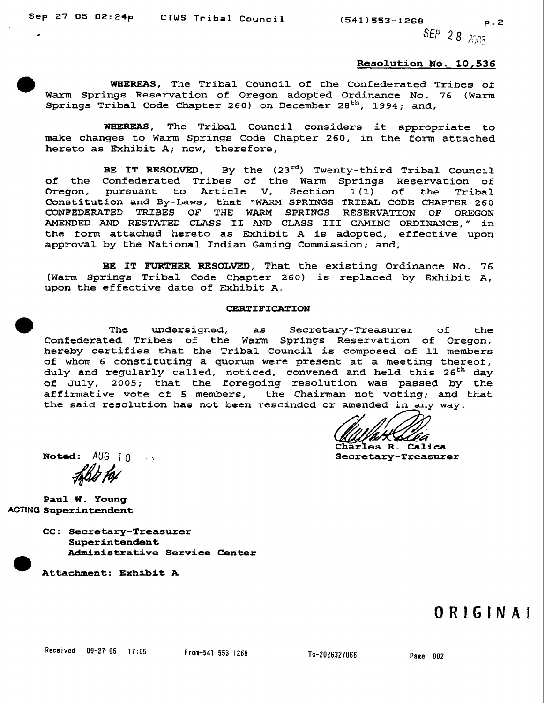SEP 28 2005

#### **Resolution No. 10,536**

**WEIEREAS, The Tribal Council of the Confederated Tribes of Warm Springs Reservation of Oregon adopted Ordinance No. 76 (Warm Springs Tribal Code Chapter 260) on** December **28th, 1994; and,** 

WBEREAS, **The Tribal Council considers it appropriate to make changes to Warm Springs Code Chapter 260,** in **the** form **attached hereto as Exhibit A; now, therefore,** 

**BE IT RESOLVED,** By the  $(23^{rd})$  Twenty-third Tribal Council **of the Confederated Tribes** of **the Warm** Springs **Reservation of Oregon, pursuant to Article V, Section 1(1) of the Tribal Constitution and By-Laws, that "WARM SPRINGS TRIBAL** CODE **CHAPTER 260 CONFEDEFLATED TRIBES OF THE WARM SPRINGS RESERVATION OF OREGON AMENDED AND RESTATED CLASS I1 AND CLASS I11 GAMING ORDINANCE," in the form attached hereto as Exhibit A is adopted, effective upon approval by the National Indian Gaming Commission; and,** 

**BE IT FURTHER RESOLVED, That the existing** Ordinance **No-** 76 **(Warm Springs Tribal Code Chapter 260) is replaced by Exhibit A, upon** the **effective date of Exhibit A.** 

#### **CERTIFICATION**

**The undersigned, as Secretary-Treasurer of the Confederated Tribes of the Warm Springs Reservation of Oregon, hereby** certifies **that the Tribal Council is composed of 11 members of whom 6 constituting a quorum** were **present at a meeting thereof, duly and regularly called, noticed, convened and held this 26\* day of July, 2005; that the foregoing** resolution **was passed** by **the affirmative vote of 5 members, the Chairman not voting; and that the said resolution has** not **been rescinded** 

Charles R. Calica **~otod: AUC;** 8 . ,; **Secretary-Treasurer** 

**Paul W. Young ACTING Superintendent** 

> **CC: Secretary-Treasurer Superintendent Administrative Service Center**

**Attachment: Exhibit A** 

# $ORIGINAI$

To-2026327066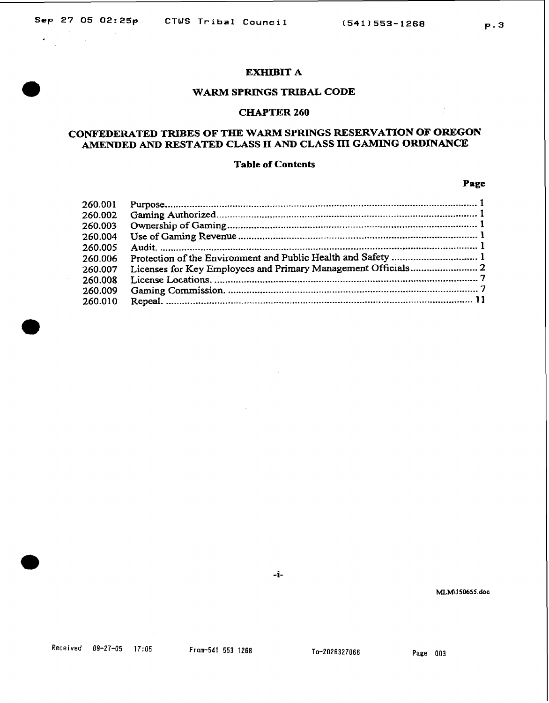$\mathbf{r}$ 

#### **EXHIBIT A**

# **WARM SPRINGS TRIBAL CODE**

# **CFIAPTER 260**

# **CONFlEDERATED TRIBES OF THE WARM SPRINGS RESERVATION OF OlREGON**  AMENDED AND RESTATED CLASS II AND CLASS III GAMING ORDINANCE

#### **Table of Contcnts**

#### **Page**

**P-3** 

| 260.001 |  |
|---------|--|
| 260.002 |  |
| 260.003 |  |
| 260.004 |  |
| 260.005 |  |
| 260.006 |  |
| 260.007 |  |
| 260.008 |  |
| 260.009 |  |
| 260.010 |  |

-i-

MLM\150655.doc

To-2026327066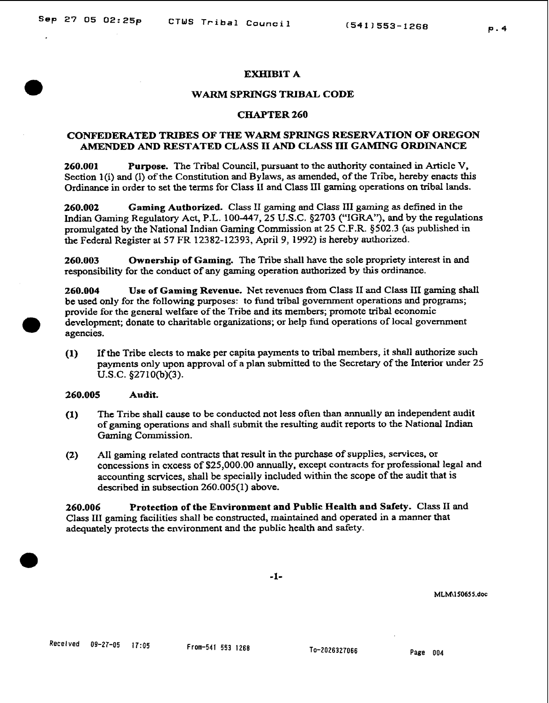# **EXHIBIT A**

#### **WARM SPRINGS TRIBAL CODE**

# **CHAPTER 260**

# **CONFEDERATED TRIBES OF THE WARM SPRINGS RESERVATION OF OmGON AMENDED AND RESTATED CLASS II AND CLASS nr GAMING ORDINANCE**

**260.001 Purpose.** The Tribal Council, pursuant to **thc** authority contained in Article V, Section 1(i) and (I) of the Constitution and Bylaws, as amended, of the Tribe, hereby enacts this Ordinance in order to set the terns for Class **I1 and Class XI1** gaming operations on tribal lands.

**260.002 Gaming Authorized.** Class **11** gaming and Class **111** gaming as defined in the Indian Gaming Regulatory Act, P.L. **100-447,25 U.S.C. \$2703 ("IGRA"), and by the** regulations promulgated by the National Indian Gaming Commission at 25 **C.F.R. \$502.3 (as** published-in the Federal Register **at** 57 **F'R** 12382-12393, April 9, 1992) **is hereby authorized.** 

**260.003 Ownership of Gaming.** The Tribe shall have the sole propriety interest in and responsibility for the conduct of any gaming operation authorized by this ordinance.

**260.004 Use of Gaming Revenue.** Net revenucs from Class **I1** and **Class I11 gaming shall**  be used only for the following purposes: to fund tribal government operations and programs; provide for the general welfare of the Tribe and its members; promote tribal economic development; donate to charitable organizations; or help fund operations of local government agencies.

**(1)** If the Tribe elects to make per capita payments to tribal members, it shall authorize such payments only upon approval of a plan submitted to **the** Secretary of the Interior under 25 **U.S.C. \$2710(b)(3).** 

# **260.005 Audit.**

- **(1)** The Tribe shall cause to be conductcd not less often **than** annually an independent audit of gaming operations **and** shall submit the resulting audit reports to **the** National Indian **Gaming** Commission.
- **(2)** All gaming related contracts that result in the purchase of supplies, services, or concessions in cxcess of **\$25,000.00 annually,** except contracts for professional **legal** and accounting services, shall be specially included within the scope of the audit that is described in subsection **260.005(1)** above.

**260.006 Protection of the Environment and Public Health and Safety.** Class 11 **and**  Class **III** gaming facilities shall be constructed, maintained and operated in a manner that adequately protects the environment **and** the public health and **safety.** 

MLM\150655.doc

To-2026327066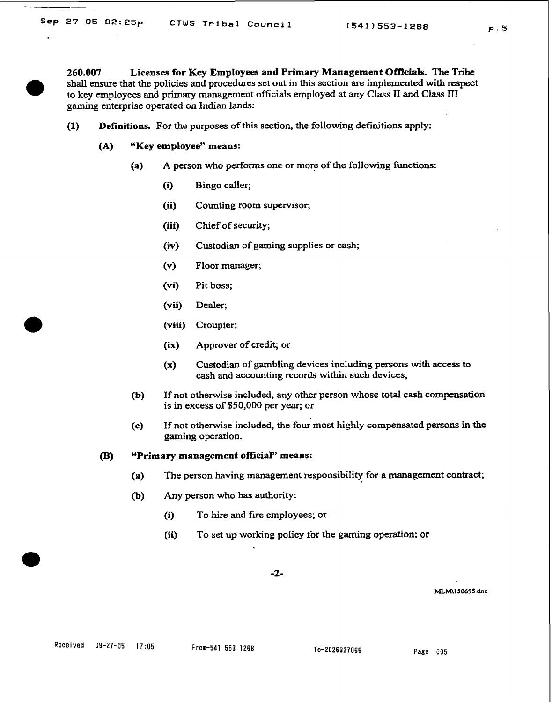**260.007 Licenses for Key Employees and Primary Management Officials. The Tribe shall ensure** that the policies and procedures **set** out in this section are implemented with respect to key employees and primary management officials employed at any Class **II and Class III gaming** enterprise operated on **Indian** lands:

- **(1)** Definitions. For the purposes of this section, the following definitions apply:
	- **(A) "Key employee" means:** 
		- **(a) A** person who performs one or more of the following functions:
			- (i) Bingo caller;
			- **(ii)** Counting room supervisor;
			- **(iii)** Chief of **security;**
			- **(iv)** Custodian of gaming supplies or cash;
			- **(v)** Floor manager;
			- **(vi) Pit** boss;
			- **(vii)** .Dealer;
			- **(viii)** Croupier;
			- **(ix)** Approver of credit; or
			- **(x)** Custodian of gambling devices including persons with access to **cash** and accounting records within such devices;
		- **(b)** If **not** otherwise included, any other person whose total **cash** compensation is in excess of \$50,000 per year; or
		- **(c)** If **not** otherwise included, the four most highly **compensated** persons in the gaming operation.

#### **(B) "Primary management official" means:**

- **(a) The** person **having** management responsibility for a management contract;
- **(b)** Any person who **has** authority:
	- (i) To hire and fire employees; or
	- **(ii)** To set up working policy for the gaming operation; or

MLM\150655.doc

 $(541)553 - 1268$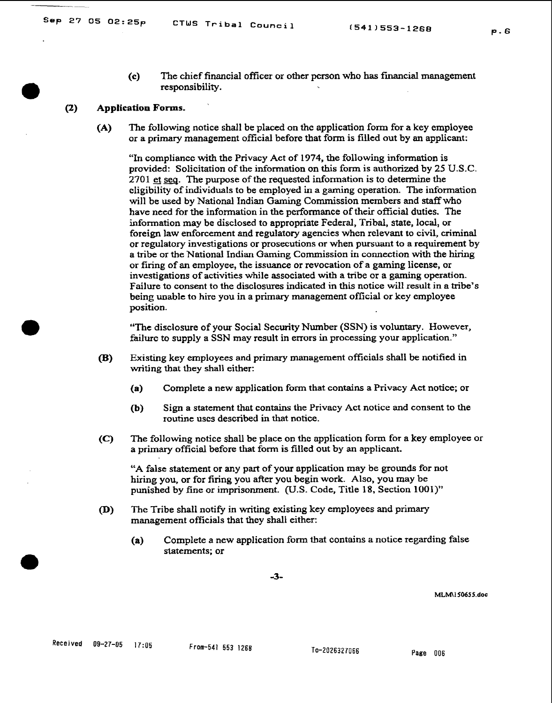- $P.6$
- **(c)** The chief financial officer or other person who has financial management responsibility.

#### **(2) Application Forms.**

**(A)** The following notice shall be placed on **thc** application form for a key employee or a primary management official before that form is filled out by an applicant;

"In cornpliancc with the Privacy Act of 1974, the following information is provided: Solicitation of the information on this form is authorized by 25 **U.S.C.**  270 1 et sea. The purpose of the requested information is to determine the eligibility of individuals to be employed in a gaming operation. The information will be used by National Indian **Gaming** Commission members and staff who have need for the information in the performance of their official duties. The information **may** be disclosed to appropriate Federal, Tribal, state, local, or foreign law enforcement and regulatory agencies when relevant to civil, criminal or regulatory investigations or prosecutions or when pursuant to a requirement by a tribe or the National Indian **Gaming** Commission in connection with the **hiring**  or firing of **an** employee, the issuance or revocation of a gaming license, or investigations of activities while associated with a tribe or a gaming operation. Failure to consent to **the** disclosures indicated in this notice will result in a tribe's being unable to hire you in a primary management official or key employee position.

**"The** disclosure of your Social Security Number (SSN) is voluntary. However, **failurc** to supply a SSN may result in errors in processing your application."

- **(B)** Existing key employees and primary management officials shall be notified in writing that **ihey** shall either:
	- **(a)** Complete a new application form that contains a Privacy Act notice; or
	- **(b)** Sign a statement that contains the Privacy Act notice and consent to the routine uscs described in that notice.
- **(C) The** following notice shall be place on the application form **for** a key employee or a primary official before that form is filled out by an applicant.

"A false statement or **any** part of your application may be grounds for not hiring you, or for firing you after you begin work. Also, you may be punished by **fine** or imprisonment. (U.S. Code, Title 18, Section **1001)"** 

- **(D)** The Tribe shall notify in writing existing key employees and primary management officials that they shall either:
	- **(a)** Complete a **new** application **form** that contains a notice regarding false statements; or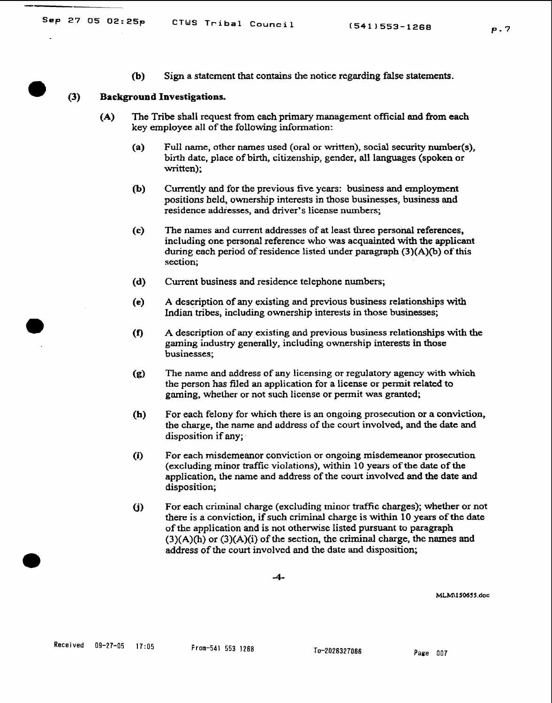**(b)** Sign a statement that contains the notice regarding false statements.

#### **(3)** Background Investigations.

- **(A)** The Tribe shall request from each primary management official and **from** each key employee all of the following information:
	- **(a)** Full **name,** other names used (oral or written), social security number(s), birth date, place of birth, citizenship, gender, all languages (spoken or written);
	- **(b)** Currently and for the previous **five** years: business and employment positions held, ownership interests in those businesses, business and residence addresses, and driver's license numbers;
	- **(c)** The **names** and current addresses of at least thee personal references, including one personal reference who **was** acquainted with the **applicant**  during each period of residence listed under paragraph **(3)(A)**(b) of this section;
	- **(d)** Current business and residence telephone numbers;
	- **(e)** A description of any existing **and** previous business relationships with Indian tribes, including ownership interests in those businesses;
	- **(f)** A description of **any** existing and previous **business** relationships with the gaming industry generally, including ownership interests in those businesses;
	- **(g)** The **name** and address of any **licensing** or regulatory agency with which the person has filed an application for a license or permit related to gaming, whether or not such license or permit **was** granted;
	- **(h)** For each felony for which there is an ongoing prosecution or a conviction, the charge, the name and address of **tlie** court involved, and the date **and**  disposition if any;
	- **(i)** For each misdemeanor conviction or ongoing misdemeanor prosecution (excluding minor **traffic** violations), within 10 years of **the date** of the application, the name and address of the court involved and the date and disposition;
	- (j) For each criminal charge (excluding minor traffic charges); whether or not there is a conviction, if such criminal charge is within 10 years of **the** date of the application and is not otherwise listed pursuant to paragraph **(3)(A)(h)** or (3)(A)(i) of the section, the criminal charge, the **names** and address of the court involvcd and the date and disposition;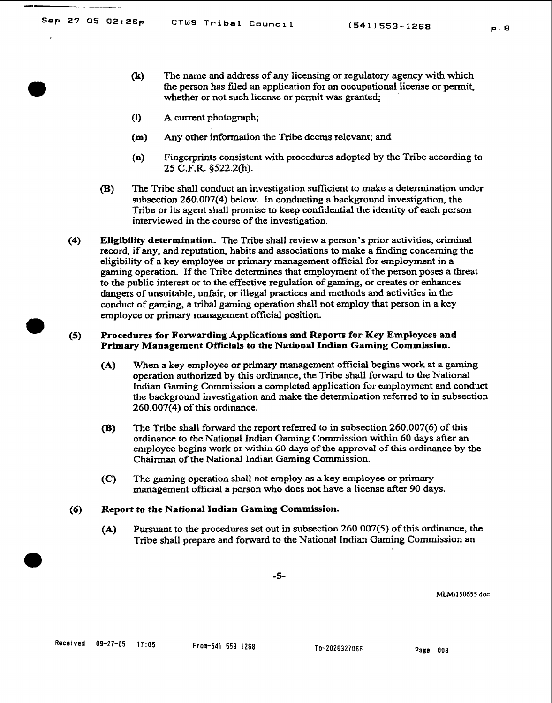- **(k) The** name and address of **any** licensing or regulatory agency with which the person **has fded** an application for an occupational license or permit, whether or not such license or permit **was** granted;
- (I) A current photograph;
- **(m) Any** other information the Tribe deems relevant; **and**
- **(n)** Fingerprints consistent with procedures adopted by the Tribe according to 25 **C.F.R.** \$522.2(h).
- **(B)** The Tribe shall conduct an investigation suffcient to make a determination undcr subsection 260.007(4) below. In conducting a background investigation, the **Tribe** or its agent shall promise to keep confidential the identity of each person interviewed in the course of the investigation.
- **(4) Eligibility determination. The** Tribe shall review a person's prior activities, criminal record, if **any,** and reputation, habits and associations to make a **finding** concerning the eligibility of a key employee or primary management official for employment in a gaming operation. If the Tribe determines that employment of the person poses a threat to the public interest or to the effective regulation of gaming, or creates or enhances dangers of unsuitable, unfair, or illegal practices and methods and activities in **the conduct** of **gaming,** a tribal gaming operation shall not employ that person in a **key**  employee or primary management official position.

# **(5) Procedures for Forwarding Applications and Reports for Key Employees and**  Primary Management Officials to the National Indian Gaming Commission.

- **(A)** When a key **employec** or primary management official begins work at a **gaming**  operation authorized by this ordinance, the Tribe shall forward to the National Indian Gaming Commission a completed application for employment and conduct the background investigation **and** make the determination referred to in subsection 260.007(4) of **this** ordinance.
- **(B)** The Tribe shall forward the report referred to in subsection 260.007(6) of this ordinance to **thc** National Indian **Gaming** Commission within 60 **days** after **an**  employee begins work or within 60 **days** of the approval of this ordinance by the **Chairman** of the National Indian **Gaming** Commission.
- **(C)** The gaming operation shall not employ as a key employee or primary management official a pcrson who does not have a **license** after 90 days.

# **(6) Report to the National Indian Gaming Commission.**

**(A)** Pursuant to the procedures set out in subsection 260.007(5) of this ordinance, **the**  Tribe shall prepare and forward to the National **lndian Gaming** Commission an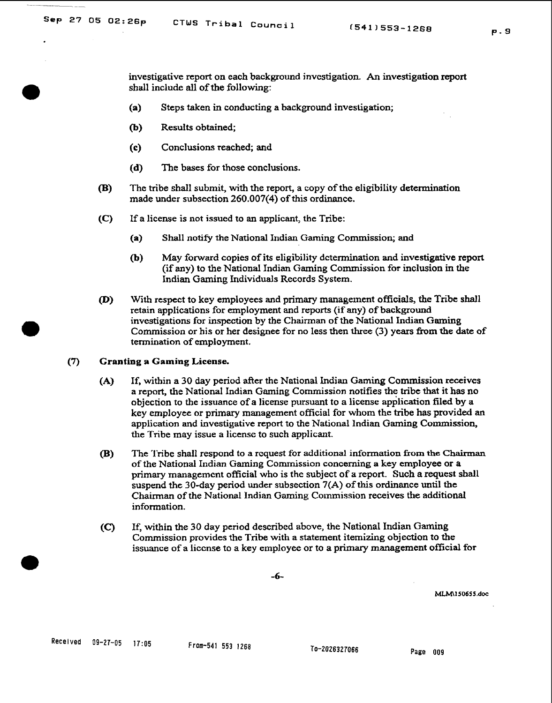investigative report on each background investigation. An investigation report shall include all of the following:

- **(a)** Steps taken in conducting a background investigation;
- (b) Results obtained;
- (c) Conclusions reached; **and**
- **(d) The** bases for those conclusions.
- (B) The tribe shall submit, with the report, a copy of the eligibility **determination**  made under subsection 260.007(4) of this ordinance.
- **(C)** If a license is not issued to an applicant, the Tribe:
	- (a) Shall notify the National Indian Gaming Commission; and
	- **(b)** May forward copies of its eligibility determination and investigative report (if any) to the National Indian Gaming Commission for inclusion in the Indian **Gaming** Individuals Records System.
- (D) With respect to key employees **and** primary management officials, the **Tribe** shall retain applications for employment and reports (if any) of **background**  investigations for inspection by the Chairman of the National **Indian Gaming**  Commission or his or her designee for no less then three (3) years **fiom** the **date** of termination of employment.

# **(7) Granting a Gaming License.**

- **(A)** If, within a 30 day period after the National lndian **Gaming** Commission receives a report, the National Indian Gaming Commission notifies the **tribe** that it has no objection to the issuance of a license pursuant to a license apdlication filed by a key employee or primary management official for whom the tribe **has** provided **an**  application and investigative report to the National Indian **Gaming** Commission, the Tribe may issue a license to such applicant.
- **(B) The** 'I'ribe shall respond to a rcquest for additional **information fiom the Chairman**  of the National Indian Gaming Commission concerning a **key** employee or a primary management official who is the subject of a report. **Such** a request shall suspend the 30-day period **under** subsection **7(A)** of this ordinance until **the Chairman** of the National Indian Gaming Cotnmission receives the additional information.
- **(C)** If, within the 30 **day** period described **above,** the NationaI Indian **Gaming**  Commission provides the Tribe with a statement itemizing objection to the issuance of a liccnse to a key employee or to a primary management official **for**

-6-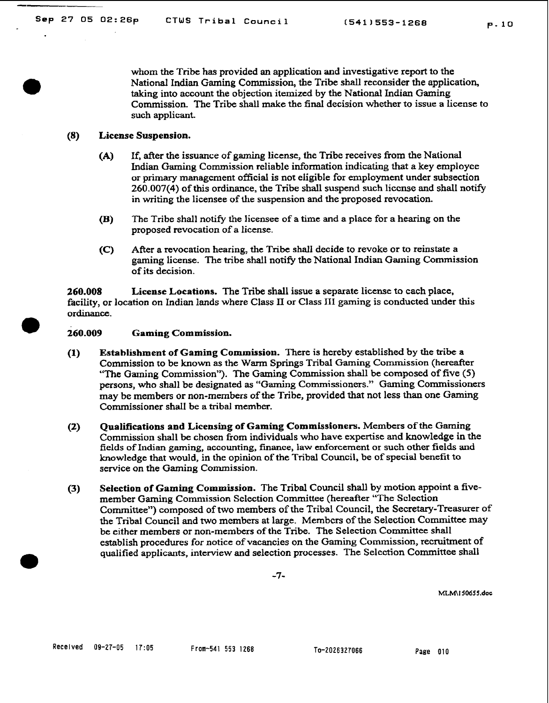whom the Tribe **has** provided **an** application and investigative report to the National Indian Gaming Commission, the Tribe shall reconsider the application, taking into account the objection itemized by the National Indian Gaming Commission. The Tribe shall **make** the final decision whether to issue a license to

# **(8) License Suspension.**

such applicant.

- **(A)** If, after the issuance of gaming license, the Tribe receives from the National Indian Gaming Commission reliable information indicating that a key employee or primary management official is not eligible for employment under subsection **260.007(4)** of this ordinance, the Tribe shall suspend such liccnse and shall notify in writing the licensee of the suspension and the proposed revocation.
- **(B) The** Tribe shall notify the licensee of a time and a place for a hearing on the proposed revocation of a license.
- **(C)** After a revocation hearing, **the** Tribe shall decide to revoke or to reinstate a gaming license. The tribe shall notify the National Indian Gaming Commission of its decision.

**260.008 License Locations.** The **Tribe** shall issue a separate license to cach place, facility, or location on Indian lands where Class **I1** or Class **XI1** gaming is conducted under this ordinance.

# 260.009 Gaming Commission.

- **(1) Establishment of Gaming Commission.** There **is** hereby established by the tribe a Commission to be **known** as the Warm Springs Tribal Gaming Commission (hereafter **"The** Gaming Commission"). The Gaming Commission shall be composed of five (5) persons, who shall be designated as **"Gaming** Commissioners." **Gaming** Commissioners may be members or non-members of the Tribe, provided that not **less** than one Gaming Commissioner shall be a tribal member.
- **(2) Qualifications and Licensing of Gaming Commissioners. Members of the Gaming**  Commission shall be chosen from individuals who **have** expertise **and** knowledge in the fields of **Indian gaming,** accounting, **finance,** law enforcement or such other fields and knowledge that would, in the opinion of the Tribal Council, be of special benefit to service on the Gaming Commission.
- **(3) Selection of Gaming Commission. The** Tribal Council shall by motion appoint a **five**member Gaming Cornnlission Selection Committee (hereafter **"The** Sclection Committee") composcd of two members of the Tribal Council, the Secretary-Treasurer of **the** Tribal Council and two members at large. Mernbcrs of the Selection Committee may **be** either members or non-members of the Tribe. The Selection Committee shall establish procedures **for** notice of vacancies on the Gaming Commission, recruitment of qualified applicants, interview and selection processes. The Selection Committee shall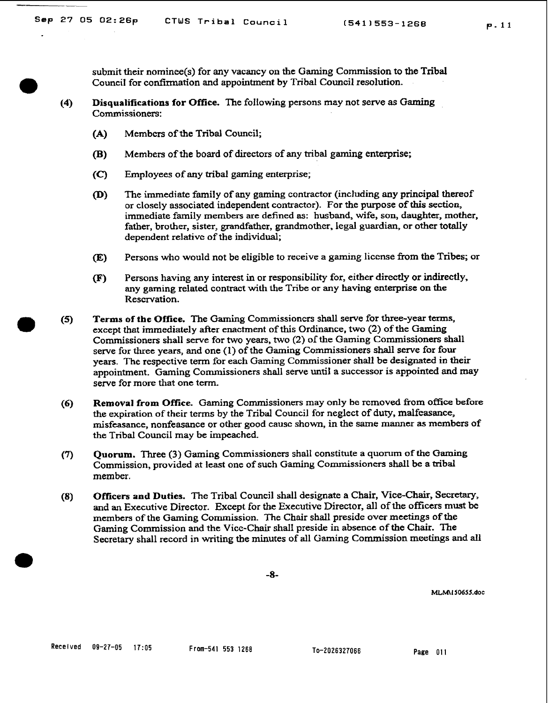**submit their** nominee(s) for **any** vacancy on the Gaming Commission to the Tribal Council for conf?rrnation **and** appointment by **Tribal** Council resolution.

- **(4) Disqualifications for Office.** The following persons may not serve as **Gaming**  Commissioners:
	- **(A)** Membcrs of the Tribal Council;
	- (B) Members of the board of directors of any tribal **gaming** enterprise;
	- **(C)** Employees of any tribal gaming enterprise;
	- (D) **The** immediate family of any gaming contractor (including **any** principal thereof or closely associated independent contractor). For the purpose of this section, immediate family members are defined **as:** husband, wife, son, daughter, mother, father, brother, **sister,** grandfather, grandmother, legal guardian, or other totally dependent relativc of the individual;
	- **(E)** Persons who would not be eligible to receive a gaming license from the Tribes; or
	- (F) Persons having any interest in or responsibility for, either directly or indirectly, any gaming related contract with **the** Tribe or any having enterprise on **the**  Rescrvation.
- **m (5) Terms of** the Office. **The** Gaming Comrnissioncrs shall serve for three-year terms, except that immediately aficr enactment of this Ordinance, two (2) of the Gaming Commissioners shall **serve** for two years, two (2) of **the** Gaming Commissioners shall serve for **three** years, **and** one (1) of the Gaming Commissioners shall serve for four years. The respective term for each **Gaming** Commissioner shall be designated in their appointment. Gaming Commissioners shall serve until a successor is appointed and **may**  serve for more that one term.
- **(6) Removal from Office.** Gaming Commissioners may only be removed from office before the expiration of their terms by the Tribal Council for neglect of duty, malfeasance, misfeasance, nonfeasance or other good causc shown, in the same **manner as** members of the Tribal Council may be impeached.
- **(7) Quorum. Three (3) Gaming** Commissioners shall constitute a quorum of the Gaming Commission, provided at least one of such Gaming Commissioners shall **be** a **tribal**  member.
- **(8) Officers and Duties. The Tribal** Council shall designate a Chair, **Vice-Chair,** Secretary, **and an** Executive Director. Except for the Executive Director, all of the **officers** must be members of the Gaming Commission. The Chair shall **preside** over meetings of the Gaming Commission and **the** Vice-Chair shall preside in absence of the Chair. The Secretary shall record in writing the minutes of all **Gaming** Commission meetings and all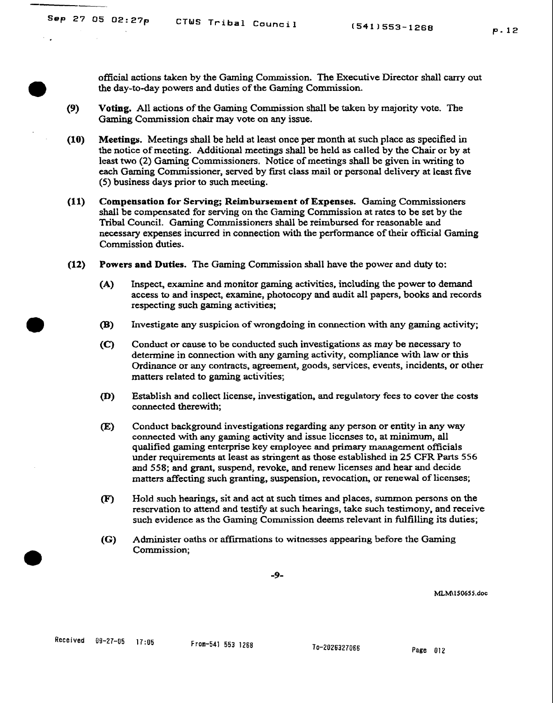official actions **taken** by the **Gaming** Commission. The Executive Director shall carry out

- the day-to-day powers and duties of the Gaming Commission.<br> **(9)** Voting. All actions of the Gaming Commission shall be taken **(9) Voting.** All actions of the Gaming Commission shall be taken by majority vote. The **Gaming** Commission chair may vote on any issue.
- **(10) Meetings.** Meetings shall **be** held at lcast once per **month** at such place as specified in the notice of meeting. Additional meetings shall be held **as** called by the Chair or by at least two (2) **Gaming** Commissioners. Notice of meetings shall be given in writing to each Gaming Commissioner, served by **fust** class mail or personal delivery at lcast five (5) business **days** prior to such **meeting.**
- **(11) Compensation for Serving; Reimbursement of Expenses.** Gaming Commissioners **shall** be compensated for serving on the Gaming Commission at rates to be set by the Tribal Council. **Gaming** Commissioners shall be reimbursed for reasonable **and**  necessary expenses incurred in connection with the performance of their official Gaming Commission duties.
- **(12) Powers** and **Duties.** The Gaming Commission shall have the power and **duty** to:
	- **(A)** Inspect, examine and monitor **gaming** activities, including the power to demand access **to** and inspect, examine, photocopy and audit all papers, books and records respecting such gaming activities;
	- **(B)** Investigate any suspicion of wrongdoing in connection with any gaming activity;
	- **(C)** Conduct or cause to be conducted such investigations as **may** be necessary to determine in connection with **any** gaming activity, compliance with law or this Ordinance or **any** contracts, agreement, goods, services, events, incidents, or other matters related to **gaming** activities;
	- (D) Establish and collect license, investigation, and regulatory fees to cover the **costs**  connected therewith;
	- ) Conduct background investigations regarding **any** person or entity in **any** way connected with any gaming activity **and** issue liccnses to, at **minimum, all**  qualified gaming enterprise key **employee** and primary management officials under **requirements** at least **as stringent** as those established in 25 CFR **Parts <sup>556</sup> and** 558; **and** grant, suspend, revoke, and renew licenses and **hear** and decide matters affecting such granting, suspension, revocation, or renewal of licenses;
	- (F) Hold such hearings, sit **and** act **at** such times and places, summon persons on the reservation to attend and testify at such hearings, take such testimony, and receive such evidence as thc Gaming Comnission deems relevant in **fulfilling** its duties;
	- *(G)* Administer oaths or affmations to witnesses appearing before the **Gaming**  Commission;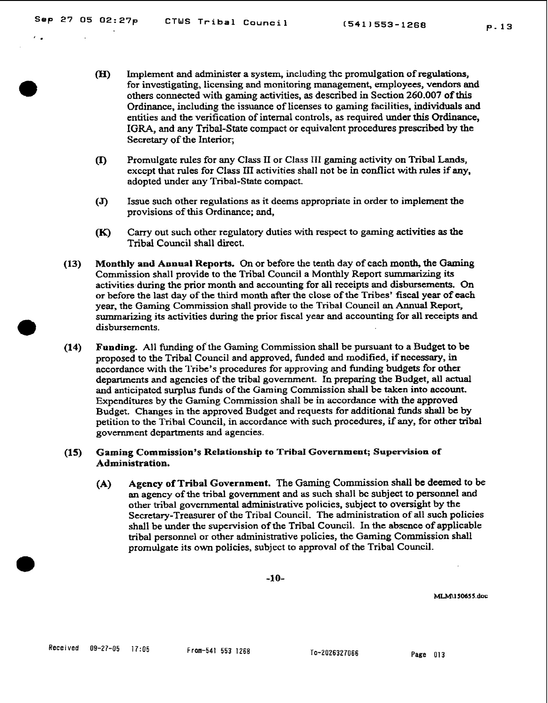- (H) Implement and administer a system, including thc promulgation of regulations, for investigating, licensing and monitoring management, employees, vendors and others connected with gaming activities, as described in Section 260.007 of this Ordinance, including the issuance of licenses to gaming facilities, individuals and entities and **the** verification of internal controls, as required under this Ordinance, IGRA, and any Tribal-State compact or equivalent procedures prescribed by **the**  Secretary of the Interior;
- **(I)** Promulgate rules for any Class I1 or Class **IT1** gaming activity on Tribal **Lands,**  exccpt that rules for Class 111 activities shall not be in conflict with **rules** if **any,**  adopted under any Tribal-State compact.
- **(J)** Issue such other regulations as it deems appropriate in order to implement **the**  provisions of this Ordinance; and,
- (K) **Cany** out such other regulatory duties with respect to **gaming** activities as the Tribal Council shall direct.
- **(13) Monthly and Annual Reports.** On or before the tenth day of cach month, the Gaming Commission shall provide to the Tribal Council a Monthly Report summarizing its activities.during the prior month and accounting for all receipts and disbursements. On or before the last day of the third month after the close of the Tribes' fiscal year of each year, the Gaming Commission shall provide to **the** Tribal Council an Annual Report, summarizing its activities during the prior fiscal year and accounting for all receipts and<br>disbursements.<br>(14) Funding. All funding of the Gaming Commission shall be pursuant to a Budget to be disbursements.
- **(14) Funding.** All **funding** of the Gaming Commission shall be pursuant to a Budget to **be**  proposed to the Tribal Council and approved, funded **and** modified, if necessary, in accordance with the Tribe's procedures for approving and **funding** budgets for other departments and agencies of the tribal government. In preparing the Budget, all actual and anticipated surplus **funds** of the Gaming Commission shall be **taken** into account. Expenditures by the Gaming Commission shall be in accordance with the approved Budget. Changes in the approved Budget and requests **for** additional **funds** shall **be** by petition to the Tribal Council, in accordance with such procedures, if any, for other tribal government departments and agencies.

# **(15) Gaming Commission's Relationship to Tribal Government; Supervision of Administration.**

**(A) Agency of Tribal Government.** The **Gaming** Commission shall be deemed to be **an** agency of the tribal government and **as** such shall **bc** subject to personnel and other tribal governmental **administrative** policies, subject to oversight by the Secretary-Treasurer of the Tribal Council. The administration of all such policies shall be under the supervision of the Tribal Council. **In** the abscnce of applicable tribal personnel or other administrative policies, the Gaming Commission shall promulgate its own policies, subject to approval of the Tribal Council.